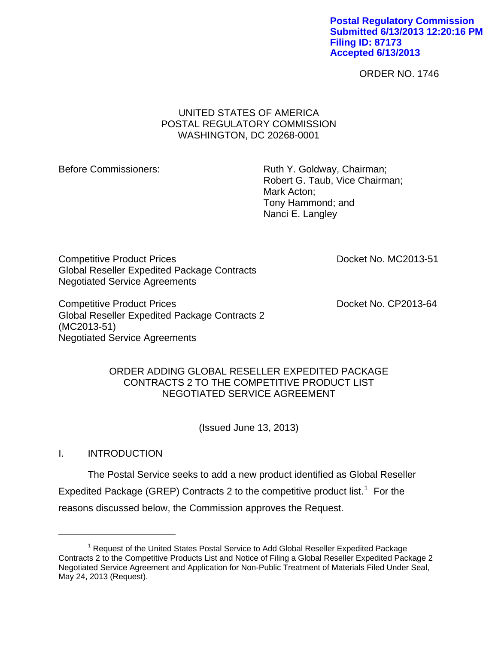**Postal Regulatory Commission Submitted 6/13/2013 12:20:16 PM Filing ID: 87173 Accepted 6/13/2013**

ORDER NO. 1746

# UNITED STATES OF AMERICA POSTAL REGULATORY COMMISSION WASHINGTON, DC 20268-0001

Before Commissioners: Ruth Y. Goldway, Chairman; Robert G. Taub, Vice Chairman; Mark Acton; Tony Hammond; and Nanci E. Langley

Competitive Product Prices **Docket No. MC2013-51** Global Reseller Expedited Package Contracts Negotiated Service Agreements

Competitive Product Prices **Docket No. CP2013-64** Global Reseller Expedited Package Contracts 2 (MC2013-51) Negotiated Service Agreements

# ORDER ADDING GLOBAL RESELLER EXPEDITED PACKAGE CONTRACTS 2 TO THE COMPETITIVE PRODUCT LIST NEGOTIATED SERVICE AGREEMENT

(Issued June 13, 2013)

I. INTRODUCTION

 $\overline{a}$ 

The Postal Service seeks to add a new product identified as Global Reseller Expedited Package (GREP) Contracts 2 to the competitive product list.<sup>[1](#page-0-0)</sup> For the reasons discussed below, the Commission approves the Request.

<span id="page-0-0"></span><sup>&</sup>lt;sup>1</sup> Request of the United States Postal Service to Add Global Reseller Expedited Package Contracts 2 to the Competitive Products List and Notice of Filing a Global Reseller Expedited Package 2 Negotiated Service Agreement and Application for Non-Public Treatment of Materials Filed Under Seal, May 24, 2013 (Request).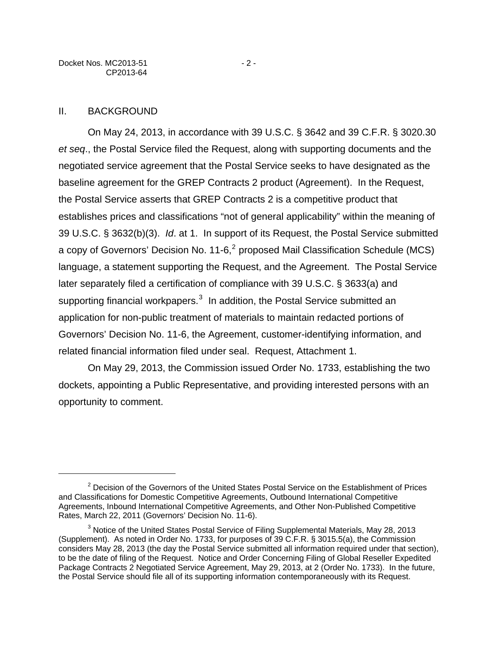### II. BACKGROUND

 $\overline{a}$ 

On May 24, 2013, in accordance with 39 U.S.C. § 3642 and 39 C.F.R. § 3020.30 *et seq*., the Postal Service filed the Request, along with supporting documents and the negotiated service agreement that the Postal Service seeks to have designated as the baseline agreement for the GREP Contracts 2 product (Agreement). In the Request, the Postal Service asserts that GREP Contracts 2 is a competitive product that establishes prices and classifications "not of general applicability" within the meaning of 39 U.S.C. § 3632(b)(3). *Id*. at 1. In support of its Request, the Postal Service submitted a copy of Governors' Decision No. 11-6,<sup>[2](#page-1-0)</sup> proposed Mail Classification Schedule (MCS) language, a statement supporting the Request, and the Agreement. The Postal Service later separately filed a certification of compliance with 39 U.S.C. § 3633(a) and supporting financial workpapers. $^3$  $^3$  In addition, the Postal Service submitted an application for non-public treatment of materials to maintain redacted portions of Governors' Decision No. 11-6, the Agreement, customer-identifying information, and related financial information filed under seal. Request, Attachment 1.

On May 29, 2013, the Commission issued Order No. 1733, establishing the two dockets, appointing a Public Representative, and providing interested persons with an opportunity to comment.

<span id="page-1-0"></span> $2$  Decision of the Governors of the United States Postal Service on the Establishment of Prices and Classifications for Domestic Competitive Agreements, Outbound International Competitive Agreements, Inbound International Competitive Agreements, and Other Non-Published Competitive Rates, March 22, 2011 (Governors' Decision No. 11-6).

<span id="page-1-1"></span> $3$  Notice of the United States Postal Service of Filing Supplemental Materials, May 28, 2013 (Supplement). As noted in Order No. 1733, for purposes of 39 C.F.R. § 3015.5(a), the Commission considers May 28, 2013 (the day the Postal Service submitted all information required under that section), to be the date of filing of the Request. Notice and Order Concerning Filing of Global Reseller Expedited Package Contracts 2 Negotiated Service Agreement, May 29, 2013, at 2 (Order No. 1733). In the future, the Postal Service should file all of its supporting information contemporaneously with its Request.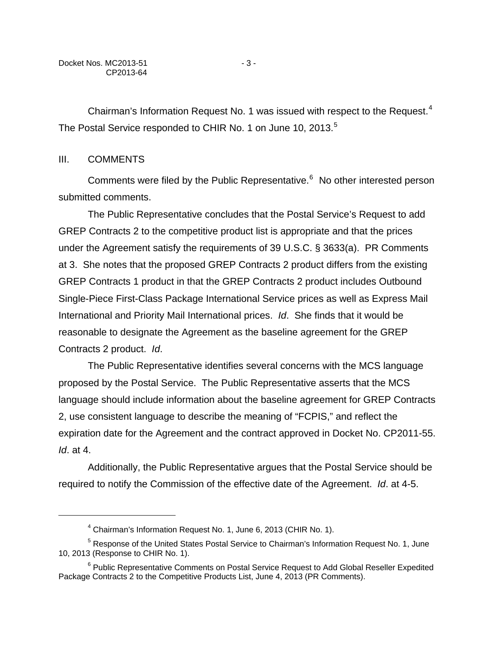Chairman's Information Request No. 1 was issued with respect to the Request.<sup>[4](#page-2-0)</sup> The Postal Service responded to CHIR No. 1 on June 10, 2013.<sup>[5](#page-2-1)</sup>

## III. COMMENTS

 $\overline{a}$ 

Comments were filed by the Public Representative.<sup>[6](#page-2-2)</sup> No other interested person submitted comments.

The Public Representative concludes that the Postal Service's Request to add GREP Contracts 2 to the competitive product list is appropriate and that the prices under the Agreement satisfy the requirements of 39 U.S.C. § 3633(a). PR Comments at 3. She notes that the proposed GREP Contracts 2 product differs from the existing GREP Contracts 1 product in that the GREP Contracts 2 product includes Outbound Single-Piece First-Class Package International Service prices as well as Express Mail International and Priority Mail International prices. *Id*. She finds that it would be reasonable to designate the Agreement as the baseline agreement for the GREP Contracts 2 product. *Id*.

The Public Representative identifies several concerns with the MCS language proposed by the Postal Service. The Public Representative asserts that the MCS language should include information about the baseline agreement for GREP Contracts 2, use consistent language to describe the meaning of "FCPIS," and reflect the expiration date for the Agreement and the contract approved in Docket No. CP2011-55. *Id*. at 4.

Additionally, the Public Representative argues that the Postal Service should be required to notify the Commission of the effective date of the Agreement. *Id*. at 4-5.

<sup>&</sup>lt;sup>4</sup> Chairman's Information Request No. 1, June 6, 2013 (CHIR No. 1).

<span id="page-2-1"></span><span id="page-2-0"></span><sup>&</sup>lt;sup>5</sup> Response of the United States Postal Service to Chairman's Information Request No. 1, June 10, 2013 (Response to CHIR No. 1).

<span id="page-2-2"></span><sup>&</sup>lt;sup>6</sup> Public Representative Comments on Postal Service Request to Add Global Reseller Expedited Package Contracts 2 to the Competitive Products List, June 4, 2013 (PR Comments).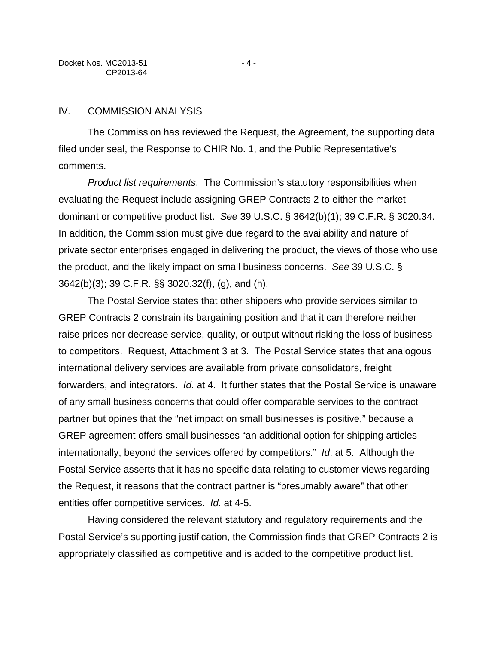## IV. COMMISSION ANALYSIS

The Commission has reviewed the Request, the Agreement, the supporting data filed under seal, the Response to CHIR No. 1, and the Public Representative's comments.

*Product list requirements*. The Commission's statutory responsibilities when evaluating the Request include assigning GREP Contracts 2 to either the market dominant or competitive product list. *See* 39 U.S.C. § 3642(b)(1); 39 C.F.R. § 3020.34. In addition, the Commission must give due regard to the availability and nature of private sector enterprises engaged in delivering the product, the views of those who use the product, and the likely impact on small business concerns. *See* 39 U.S.C. § 3642(b)(3); 39 C.F.R. §§ 3020.32(f), (g), and (h).

The Postal Service states that other shippers who provide services similar to GREP Contracts 2 constrain its bargaining position and that it can therefore neither raise prices nor decrease service, quality, or output without risking the loss of business to competitors. Request, Attachment 3 at 3. The Postal Service states that analogous international delivery services are available from private consolidators, freight forwarders, and integrators. *Id*. at 4. It further states that the Postal Service is unaware of any small business concerns that could offer comparable services to the contract partner but opines that the "net impact on small businesses is positive," because a GREP agreement offers small businesses "an additional option for shipping articles internationally, beyond the services offered by competitors." *Id*. at 5. Although the Postal Service asserts that it has no specific data relating to customer views regarding the Request, it reasons that the contract partner is "presumably aware" that other entities offer competitive services. *Id*. at 4-5.

Having considered the relevant statutory and regulatory requirements and the Postal Service's supporting justification, the Commission finds that GREP Contracts 2 is appropriately classified as competitive and is added to the competitive product list.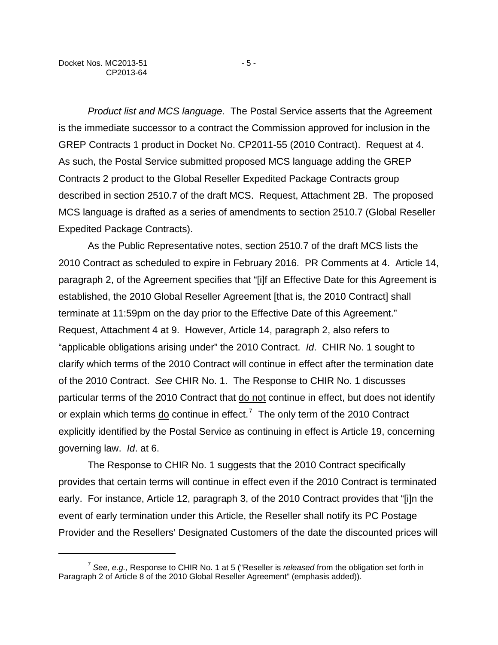1

*Product list and MCS language*. The Postal Service asserts that the Agreement is the immediate successor to a contract the Commission approved for inclusion in the GREP Contracts 1 product in Docket No. CP2011-55 (2010 Contract). Request at 4. As such, the Postal Service submitted proposed MCS language adding the GREP Contracts 2 product to the Global Reseller Expedited Package Contracts group described in section 2510.7 of the draft MCS. Request, Attachment 2B. The proposed MCS language is drafted as a series of amendments to section 2510.7 (Global Reseller Expedited Package Contracts).

As the Public Representative notes, section 2510.7 of the draft MCS lists the 2010 Contract as scheduled to expire in February 2016. PR Comments at 4. Article 14, paragraph 2, of the Agreement specifies that "[i]f an Effective Date for this Agreement is established, the 2010 Global Reseller Agreement [that is, the 2010 Contract] shall terminate at 11:59pm on the day prior to the Effective Date of this Agreement." Request, Attachment 4 at 9. However, Article 14, paragraph 2, also refers to "applicable obligations arising under" the 2010 Contract. *Id*. CHIR No. 1 sought to clarify which terms of the 2010 Contract will continue in effect after the termination date of the 2010 Contract. *See* CHIR No. 1. The Response to CHIR No. 1 discusses particular terms of the 2010 Contract that do not continue in effect, but does not identify or explain which terms  $\underline{do}$  continue in effect.<sup>[7](#page-4-0)</sup> The only term of the 2010 Contract explicitly identified by the Postal Service as continuing in effect is Article 19, concerning governing law. *Id*. at 6.

The Response to CHIR No. 1 suggests that the 2010 Contract specifically provides that certain terms will continue in effect even if the 2010 Contract is terminated early. For instance, Article 12, paragraph 3, of the 2010 Contract provides that "[i]n the event of early termination under this Article, the Reseller shall notify its PC Postage Provider and the Resellers' Designated Customers of the date the discounted prices will

<span id="page-4-0"></span><sup>7</sup> *See, e.g.,* Response to CHIR No. 1 at 5 ("Reseller is *released* from the obligation set forth in Paragraph 2 of Article 8 of the 2010 Global Reseller Agreement" (emphasis added)).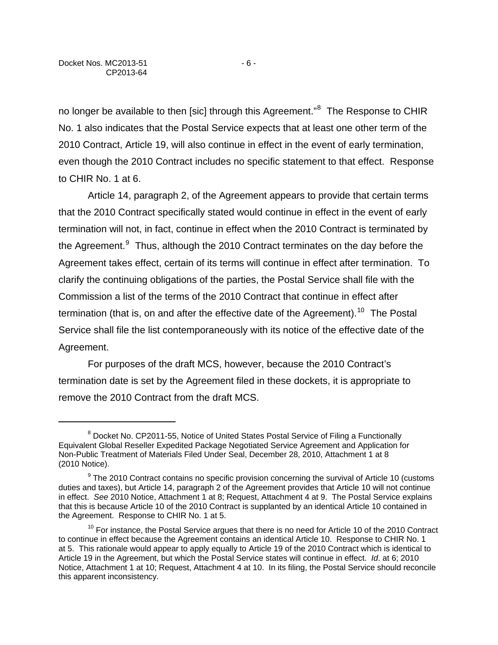$\overline{a}$ 

no longer be available to then [sic] through this Agreement."<sup>[8](#page-5-0)</sup> The Response to CHIR No. 1 also indicates that the Postal Service expects that at least one other term of the 2010 Contract, Article 19, will also continue in effect in the event of early termination, even though the 2010 Contract includes no specific statement to that effect. Response to CHIR No. 1 at 6.

Article 14, paragraph 2, of the Agreement appears to provide that certain terms that the 2010 Contract specifically stated would continue in effect in the event of early termination will not, in fact, continue in effect when the 2010 Contract is terminated by the Agreement.<sup>[9](#page-5-1)</sup> Thus, although the 2010 Contract terminates on the day before the Agreement takes effect, certain of its terms will continue in effect after termination. To clarify the continuing obligations of the parties, the Postal Service shall file with the Commission a list of the terms of the 2010 Contract that continue in effect after termination (that is, on and after the effective date of the Agreement).<sup>[10](#page-5-2)</sup> The Postal Service shall file the list contemporaneously with its notice of the effective date of the Agreement.

For purposes of the draft MCS, however, because the 2010 Contract's termination date is set by the Agreement filed in these dockets, it is appropriate to remove the 2010 Contract from the draft MCS.

<span id="page-5-0"></span><sup>&</sup>lt;sup>8</sup> Docket No. CP2011-55, Notice of United States Postal Service of Filing a Functionally Equivalent Global Reseller Expedited Package Negotiated Service Agreement and Application for Non-Public Treatment of Materials Filed Under Seal, December 28, 2010, Attachment 1 at 8 (2010 Notice).

<span id="page-5-1"></span><sup>&</sup>lt;sup>9</sup> The 2010 Contract contains no specific provision concerning the survival of Article 10 (customs duties and taxes), but Article 14, paragraph 2 of the Agreement provides that Article 10 will not continue in effect. *See* 2010 Notice, Attachment 1 at 8; Request, Attachment 4 at 9. The Postal Service explains that this is because Article 10 of the 2010 Contract is supplanted by an identical Article 10 contained in the Agreement. Response to CHIR No. 1 at 5.

<span id="page-5-2"></span> $10$  For instance, the Postal Service argues that there is no need for Article 10 of the 2010 Contract to continue in effect because the Agreement contains an identical Article 10. Response to CHIR No. 1 at 5. This rationale would appear to apply equally to Article 19 of the 2010 Contract which is identical to Article 19 in the Agreement, but which the Postal Service states will continue in effect. *Id*. at 6; 2010 Notice, Attachment 1 at 10; Request, Attachment 4 at 10. In its filing, the Postal Service should reconcile this apparent inconsistency.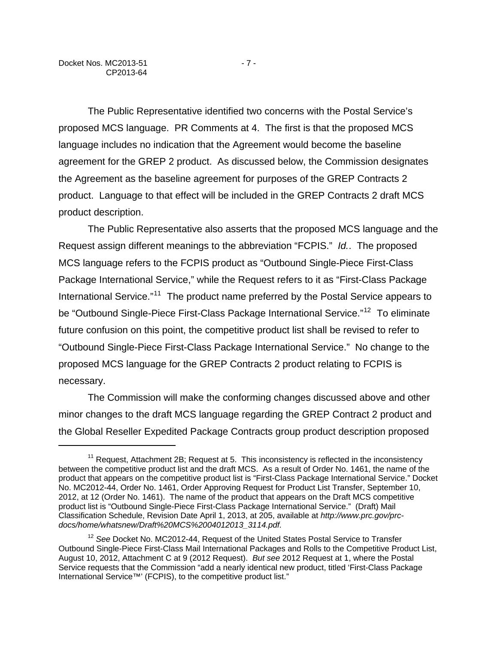$\overline{a}$ 

The Public Representative identified two concerns with the Postal Service's proposed MCS language. PR Comments at 4. The first is that the proposed MCS language includes no indication that the Agreement would become the baseline agreement for the GREP 2 product. As discussed below, the Commission designates the Agreement as the baseline agreement for purposes of the GREP Contracts 2 product. Language to that effect will be included in the GREP Contracts 2 draft MCS product description.

The Public Representative also asserts that the proposed MCS language and the Request assign different meanings to the abbreviation "FCPIS." *Id.*. The proposed MCS language refers to the FCPIS product as "Outbound Single-Piece First-Class Package International Service," while the Request refers to it as "First-Class Package International Service."<sup>[11](#page-6-0)</sup> The product name preferred by the Postal Service appears to be "Outbound Single-Piece First-Class Package International Service."<sup>[12](#page-6-1)</sup> To eliminate future confusion on this point, the competitive product list shall be revised to refer to "Outbound Single-Piece First-Class Package International Service." No change to the proposed MCS language for the GREP Contracts 2 product relating to FCPIS is necessary.

The Commission will make the conforming changes discussed above and other minor changes to the draft MCS language regarding the GREP Contract 2 product and the Global Reseller Expedited Package Contracts group product description proposed

<span id="page-6-0"></span><sup>&</sup>lt;sup>11</sup> Request, Attachment 2B; Request at 5. This inconsistency is reflected in the inconsistency between the competitive product list and the draft MCS. As a result of Order No. 1461, the name of the product that appears on the competitive product list is "First-Class Package International Service." Docket No. MC2012-44, Order No. 1461, Order Approving Request for Product List Transfer, September 10, 2012, at 12 (Order No. 1461). The name of the product that appears on the Draft MCS competitive product list is "Outbound Single-Piece First-Class Package International Service." (Draft) Mail Classification Schedule, Revision Date April 1, 2013, at 205, available at *http://www.prc.gov/prcdocs/home/whatsnew/Draft%20MCS%2004012013\_3114.pdf.*

<span id="page-6-1"></span><sup>12</sup> *See* Docket No. MC2012-44, Request of the United States Postal Service to Transfer Outbound Single-Piece First-Class Mail International Packages and Rolls to the Competitive Product List, August 10, 2012, Attachment C at 9 (2012 Request). *But see* 2012 Request at 1, where the Postal Service requests that the Commission "add a nearly identical new product, titled 'First-Class Package International Service™' (FCPIS), to the competitive product list."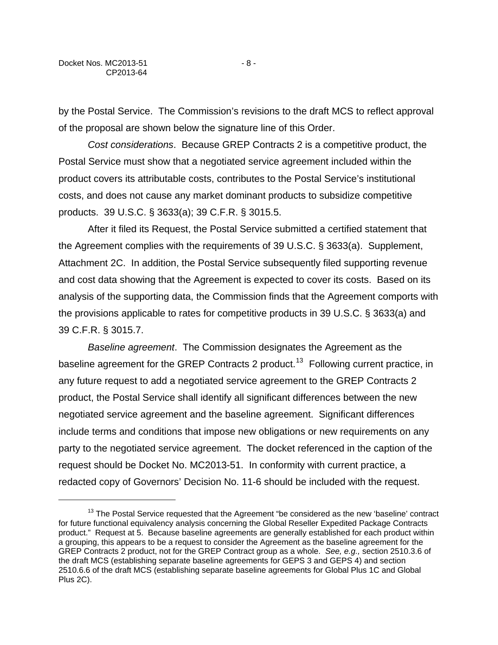$\overline{a}$ 

by the Postal Service. The Commission's revisions to the draft MCS to reflect approval of the proposal are shown below the signature line of this Order.

*Cost considerations*. Because GREP Contracts 2 is a competitive product, the Postal Service must show that a negotiated service agreement included within the product covers its attributable costs, contributes to the Postal Service's institutional costs, and does not cause any market dominant products to subsidize competitive products. 39 U.S.C. § 3633(a); 39 C.F.R. § 3015.5.

After it filed its Request, the Postal Service submitted a certified statement that the Agreement complies with the requirements of 39 U.S.C. § 3633(a). Supplement, Attachment 2C. In addition, the Postal Service subsequently filed supporting revenue and cost data showing that the Agreement is expected to cover its costs. Based on its analysis of the supporting data, the Commission finds that the Agreement comports with the provisions applicable to rates for competitive products in 39 U.S.C. § 3633(a) and 39 C.F.R. § 3015.7.

*Baseline agreement*. The Commission designates the Agreement as the baseline agreement for the GREP Contracts 2 product.<sup>[13](#page-7-0)</sup> Following current practice, in any future request to add a negotiated service agreement to the GREP Contracts 2 product, the Postal Service shall identify all significant differences between the new negotiated service agreement and the baseline agreement. Significant differences include terms and conditions that impose new obligations or new requirements on any party to the negotiated service agreement. The docket referenced in the caption of the request should be Docket No. MC2013-51. In conformity with current practice, a redacted copy of Governors' Decision No. 11-6 should be included with the request.

<span id="page-7-0"></span> $13$  The Postal Service requested that the Agreement "be considered as the new 'baseline' contract for future functional equivalency analysis concerning the Global Reseller Expedited Package Contracts product." Request at 5. Because baseline agreements are generally established for each product within a grouping, this appears to be a request to consider the Agreement as the baseline agreement for the GREP Contracts 2 product, not for the GREP Contract group as a whole. *See, e.g.,* section 2510.3.6 of the draft MCS (establishing separate baseline agreements for GEPS 3 and GEPS 4) and section 2510.6.6 of the draft MCS (establishing separate baseline agreements for Global Plus 1C and Global Plus 2C).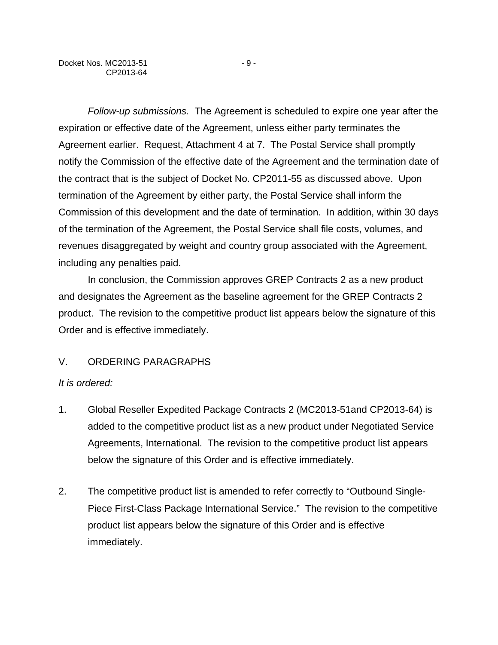*Follow-up submissions.* The Agreement is scheduled to expire one year after the expiration or effective date of the Agreement, unless either party terminates the Agreement earlier. Request, Attachment 4 at 7. The Postal Service shall promptly notify the Commission of the effective date of the Agreement and the termination date of the contract that is the subject of Docket No. CP2011-55 as discussed above. Upon termination of the Agreement by either party, the Postal Service shall inform the Commission of this development and the date of termination. In addition, within 30 days of the termination of the Agreement, the Postal Service shall file costs, volumes, and revenues disaggregated by weight and country group associated with the Agreement, including any penalties paid.

In conclusion, the Commission approves GREP Contracts 2 as a new product and designates the Agreement as the baseline agreement for the GREP Contracts 2 product. The revision to the competitive product list appears below the signature of this Order and is effective immediately.

# V. ORDERING PARAGRAPHS

# *It is ordered:*

- 1. Global Reseller Expedited Package Contracts 2 (MC2013-51and CP2013-64) is added to the competitive product list as a new product under Negotiated Service Agreements, International. The revision to the competitive product list appears below the signature of this Order and is effective immediately.
- 2. The competitive product list is amended to refer correctly to "Outbound Single-Piece First-Class Package International Service." The revision to the competitive product list appears below the signature of this Order and is effective immediately.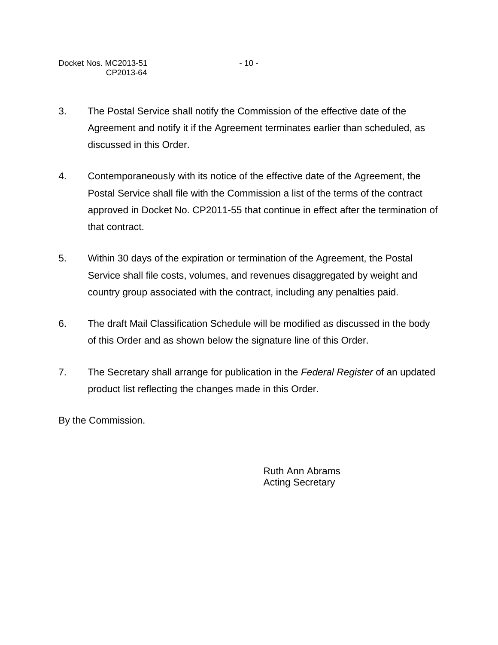- 3. The Postal Service shall notify the Commission of the effective date of the Agreement and notify it if the Agreement terminates earlier than scheduled, as discussed in this Order.
- 4. Contemporaneously with its notice of the effective date of the Agreement, the Postal Service shall file with the Commission a list of the terms of the contract approved in Docket No. CP2011-55 that continue in effect after the termination of that contract.
- 5. Within 30 days of the expiration or termination of the Agreement, the Postal Service shall file costs, volumes, and revenues disaggregated by weight and country group associated with the contract, including any penalties paid.
- 6. The draft Mail Classification Schedule will be modified as discussed in the body of this Order and as shown below the signature line of this Order.
- 7. The Secretary shall arrange for publication in the *Federal Register* of an updated product list reflecting the changes made in this Order.

By the Commission.

Ruth Ann Abrams Acting Secretary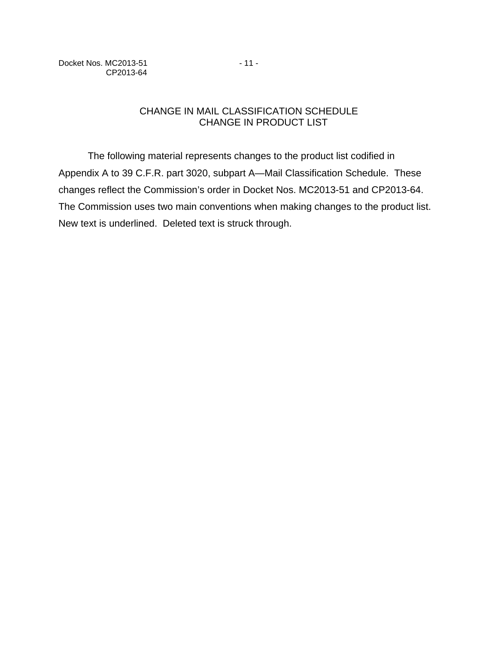Docket Nos. MC2013-51 - 11 -CP2013-64

# CHANGE IN MAIL CLASSIFICATION SCHEDULE CHANGE IN PRODUCT LIST

The following material represents changes to the product list codified in Appendix A to 39 C.F.R. part 3020, subpart A—Mail Classification Schedule. These changes reflect the Commission's order in Docket Nos. MC2013-51 and CP2013-64. The Commission uses two main conventions when making changes to the product list. New text is underlined. Deleted text is struck through.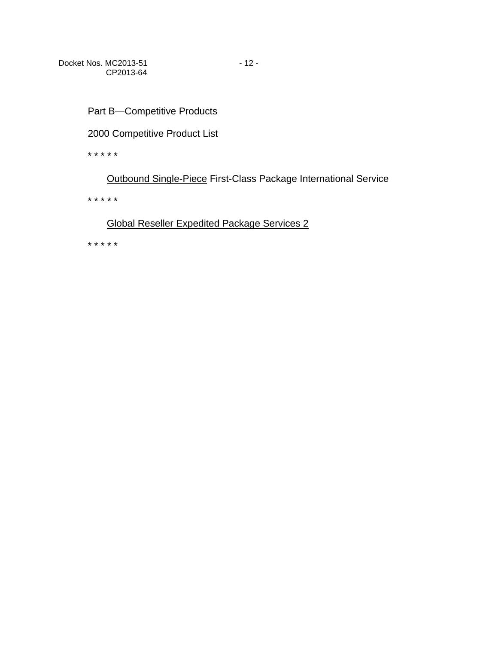Part B—Competitive Products

2000 Competitive Product List

\* \* \* \* \*

Outbound Single-Piece First-Class Package International Service

\* \* \* \* \*

# Global Reseller Expedited Package Services 2

\* \* \* \* \*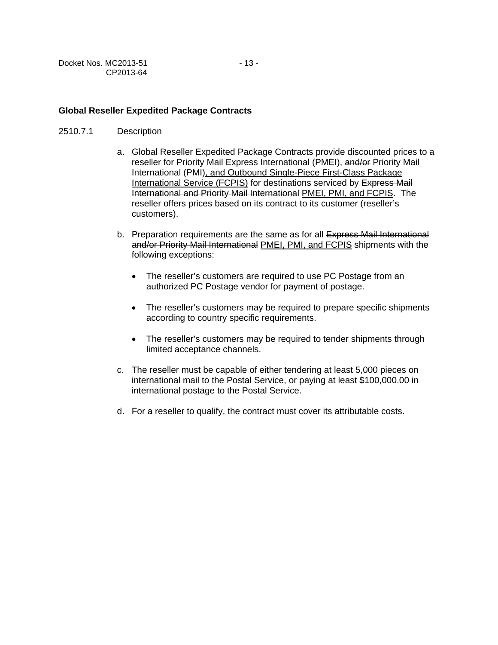| Docket Nos. MC2013-51 | $-13-$ |
|-----------------------|--------|
| CP2013-64             |        |

### **Global Reseller Expedited Package Contracts**

- 2510.7.1 Description
	- a. Global Reseller Expedited Package Contracts provide discounted prices to a reseller for Priority Mail Express International (PMEI), and/or Priority Mail International (PMI), and Outbound Single-Piece First-Class Package International Service (FCPIS) for destinations serviced by Express Mail International and Priority Mail International PMEI, PMI, and FCPIS. The reseller offers prices based on its contract to its customer (reseller's customers).
	- b. Preparation requirements are the same as for all Express Mail International and/or Priority Mail International PMEI, PMI, and FCPIS shipments with the following exceptions:
		- The reseller's customers are required to use PC Postage from an authorized PC Postage vendor for payment of postage.
		- The reseller's customers may be required to prepare specific shipments according to country specific requirements.
		- The reseller's customers may be required to tender shipments through limited acceptance channels.
	- c. The reseller must be capable of either tendering at least 5,000 pieces on international mail to the Postal Service, or paying at least \$100,000.00 in international postage to the Postal Service.
	- d. For a reseller to qualify, the contract must cover its attributable costs.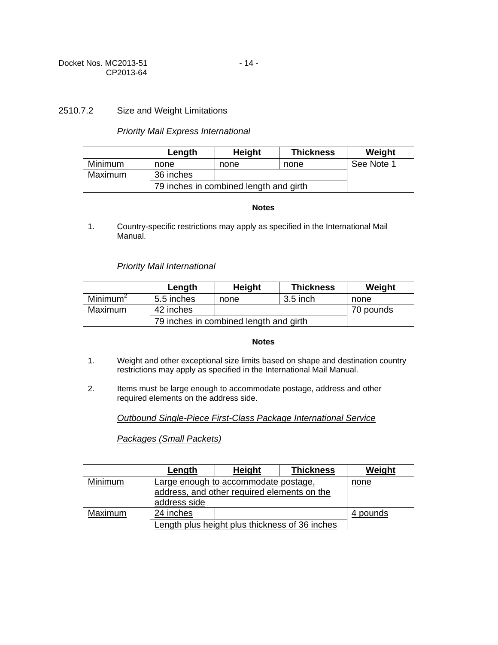### 2510.7.2 Size and Weight Limitations

### *Priority Mail Express International*

|                | Length                                 | <b>Height</b> | <b>Thickness</b> | Weight     |
|----------------|----------------------------------------|---------------|------------------|------------|
| <b>Minimum</b> | none                                   | none          | none             | See Note 1 |
| Maximum        | 36 inches                              |               |                  |            |
|                | 79 inches in combined length and girth |               |                  |            |

#### **Notes**

1. Country-specific restrictions may apply as specified in the International Mail Manual.

### *Priority Mail International*

|                      | Length                                 | <b>Height</b> | <b>Thickness</b> | Weight    |
|----------------------|----------------------------------------|---------------|------------------|-----------|
| Minimum <sup>2</sup> | 5.5 inches                             | none          | 3.5 inch         | none      |
| Maximum              | 42 inches                              |               |                  | 70 pounds |
|                      | 79 inches in combined length and girth |               |                  |           |

#### **Notes**

- 1. Weight and other exceptional size limits based on shape and destination country restrictions may apply as specified in the International Mail Manual.
- 2. Items must be large enough to accommodate postage, address and other required elements on the address side.

*Outbound Single-Piece First-Class Package International Service*

*Packages (Small Packets)*

|         | Length                                                                              | <b>Height</b> | <b>Thickness</b> | Weight   |
|---------|-------------------------------------------------------------------------------------|---------------|------------------|----------|
| Minimum | Large enough to accommodate postage,<br>address, and other required elements on the |               | none             |          |
|         | address side                                                                        |               |                  |          |
| Maximum | 24 inches                                                                           |               |                  | 4 pounds |
|         | Length plus height plus thickness of 36 inches                                      |               |                  |          |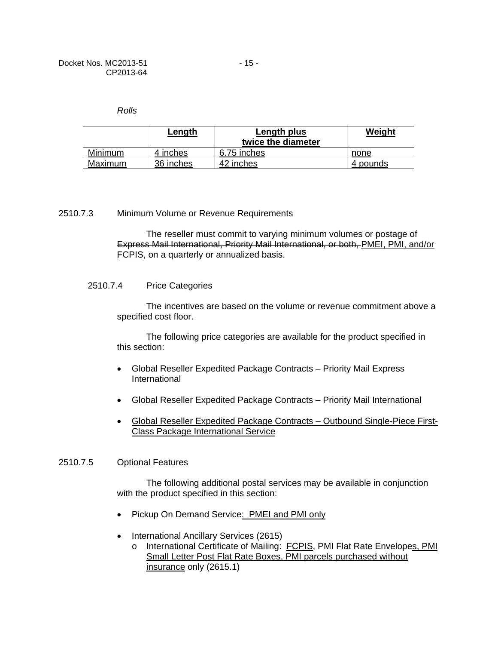*Rolls*

|                | Length    | Length plus<br>twice the diameter | Weight   |
|----------------|-----------|-----------------------------------|----------|
| <b>Minimum</b> | 4 inches  | 6.75 inches                       | none     |
| Maximum        | 36 inches | 42 inches                         | 4 pounds |

#### 2510.7.3 Minimum Volume or Revenue Requirements

The reseller must commit to varying minimum volumes or postage of Express Mail International, Priority Mail International, or both, PMEI, PMI, and/or FCPIS, on a quarterly or annualized basis.

#### 2510.7.4 Price Categories

The incentives are based on the volume or revenue commitment above a specified cost floor.

The following price categories are available for the product specified in this section:

- Global Reseller Expedited Package Contracts Priority Mail Express International
- Global Reseller Expedited Package Contracts Priority Mail International
- Global Reseller Expedited Package Contracts Outbound Single-Piece First-Class Package International Service

#### 2510.7.5 Optional Features

The following additional postal services may be available in conjunction with the product specified in this section:

- Pickup On Demand Service: PMEI and PMI only
- International Ancillary Services (2615)
	- o International Certificate of Mailing: FCPIS, PMI Flat Rate Envelopes, PMI Small Letter Post Flat Rate Boxes, PMI parcels purchased without insurance only (2615.1)